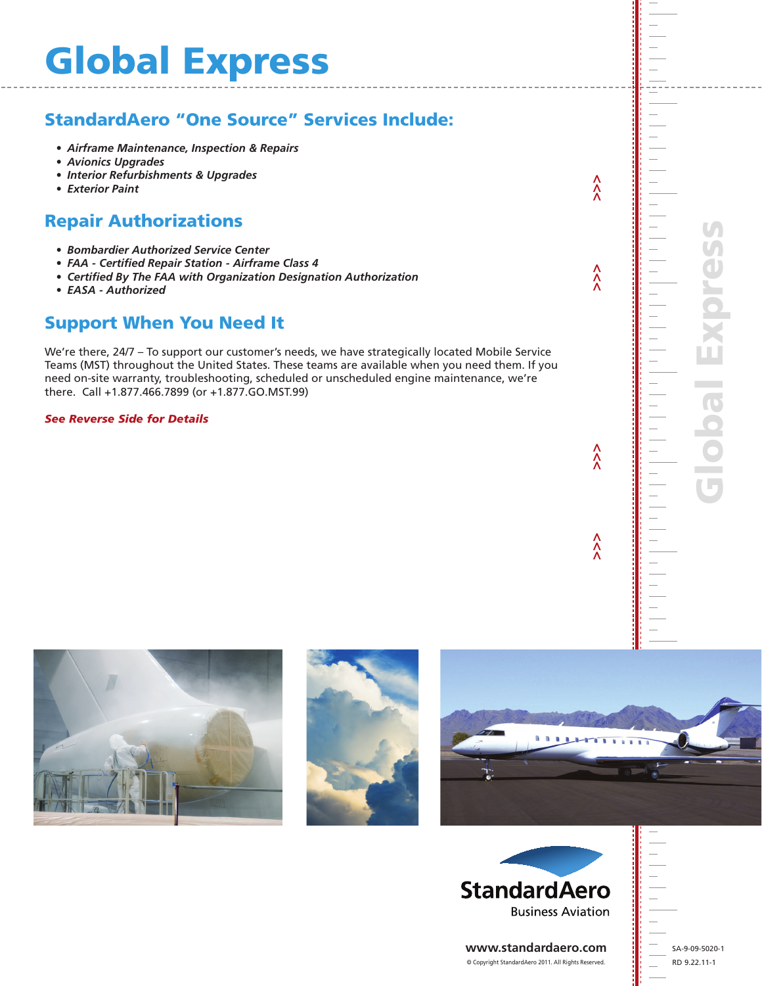# Global Express

# StandardAero "One Source" Services Include:

- *• Airframe Maintenance, Inspection & Repairs*
- *• Avionics Upgrades*
- *• Interior Refurbishments & Upgrades*
- *• Exterior Paint*

#### Repair Authorizations

- *• Bombardier Authorized Service Center*
- *• FAA - Certified Repair Station - Airframe Class 4*
- *• Certified By The FAA with Organization Designation Authorization*
- *• EASA - Authorized*

#### Support When You Need It

We're there, 24/7 – To support our customer's needs, we have strategically located Mobile Service Teams (MST) throughout the United States. These teams are available when you need them. If you need on-site warranty, troubleshooting, scheduled or unscheduled engine maintenance, we're there. Call +1.877.466.7899 (or +1.877.GO.MST.99)

*See Reverse Side for Details*







 **>>> >>> >>> >>>**

 $\hat{\lambda}$ 

 $\hat{\lambda}$ 

 $\lambda$ 

 $\hat{\lambda}$ 



**www.standardaero.com** © Copyright StandardAero 2011. All Rights Reserved.

SA-9-09-5020-1 RD 9.22.11-1